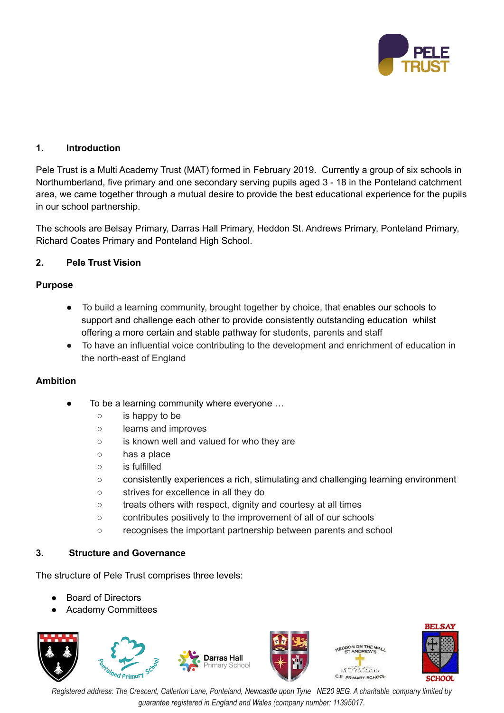

# **1. Introduction**

Pele Trust is a Multi Academy Trust (MAT) formed in February 2019. Currently a group of six schools in Northumberland, five primary and one secondary serving pupils aged 3 - 18 in the Ponteland catchment area, we came together through a mutual desire to provide the best educational experience for the pupils in our school partnership.

The schools are Belsay Primary, Darras Hall Primary, Heddon St. Andrews Primary, Ponteland Primary, Richard Coates Primary and Ponteland High School.

# **2. Pele Trust Vision**

## **Purpose**

- To build a learning community, brought together by choice, that enables our schools to support and challenge each other to provide consistently outstanding education whilst offering a more certain and stable pathway for students, parents and staff
- To have an influential voice contributing to the development and enrichment of education in the north-east of England

## **Ambition**

- To be a learning community where everyone ...
	- is happy to be
	- learns and improves
	- is known well and valued for who they are
	- has a place
	- is fulfilled
	- consistently experiences a rich, stimulating and challenging learning environment
	- strives for excellence in all they do
	- treats others with respect, dignity and courtesy at all times
	- contributes positively to the improvement of all of our schools
	- recognises the important partnership between parents and school

## **3. Structure and Governance**

The structure of Pele Trust comprises three levels:

- **Board of Directors**
- **Academy Committees**







Registered address: The Crescent, Callerton Lane, Ponteland, Newcastle upon Tyne NE20 9EG. A charitable company limited by *guarantee registered in England and Wales (company number: 11395017.*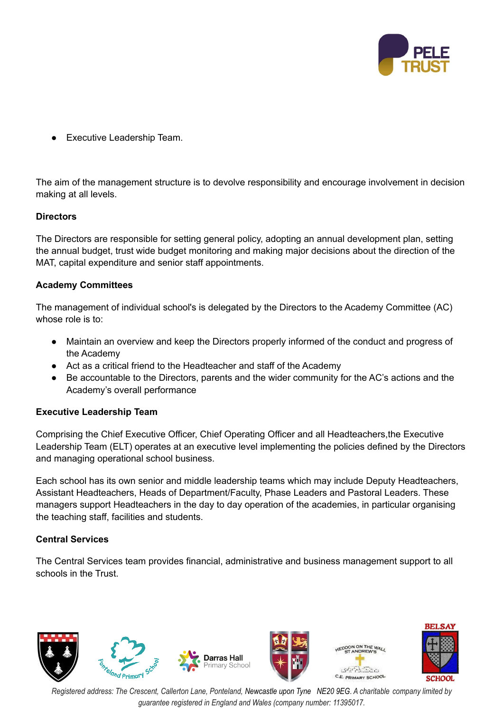

**Executive Leadership Team.** 

The aim of the management structure is to devolve responsibility and encourage involvement in decision making at all levels.

# **Directors**

The Directors are responsible for setting general policy, adopting an annual development plan, setting the annual budget, trust wide budget monitoring and making major decisions about the direction of the MAT, capital expenditure and senior staff appointments.

# **Academy Committees**

The management of individual school's is delegated by the Directors to the Academy Committee (AC) whose role is to:

- Maintain an overview and keep the Directors properly informed of the conduct and progress of the Academy
- Act as a critical friend to the Headteacher and staff of the Academy
- Be accountable to the Directors, parents and the wider community for the AC's actions and the Academy's overall performance

## **Executive Leadership Team**

Comprising the Chief Executive Officer, Chief Operating Officer and all Headteachers,the Executive Leadership Team (ELT) operates at an executive level implementing the policies defined by the Directors and managing operational school business.

Each school has its own senior and middle leadership teams which may include Deputy Headteachers, Assistant Headteachers, Heads of Department/Faculty, Phase Leaders and Pastoral Leaders. These managers support Headteachers in the day to day operation of the academies, in particular organising the teaching staff, facilities and students.

## **Central Services**

The Central Services team provides financial, administrative and business management support to all schools in the Trust.



Registered address: The Crescent, Callerton Lane, Ponteland, Newcastle upon Tyne NE20 9EG. A charitable company limited by *guarantee registered in England and Wales (company number: 11395017.*